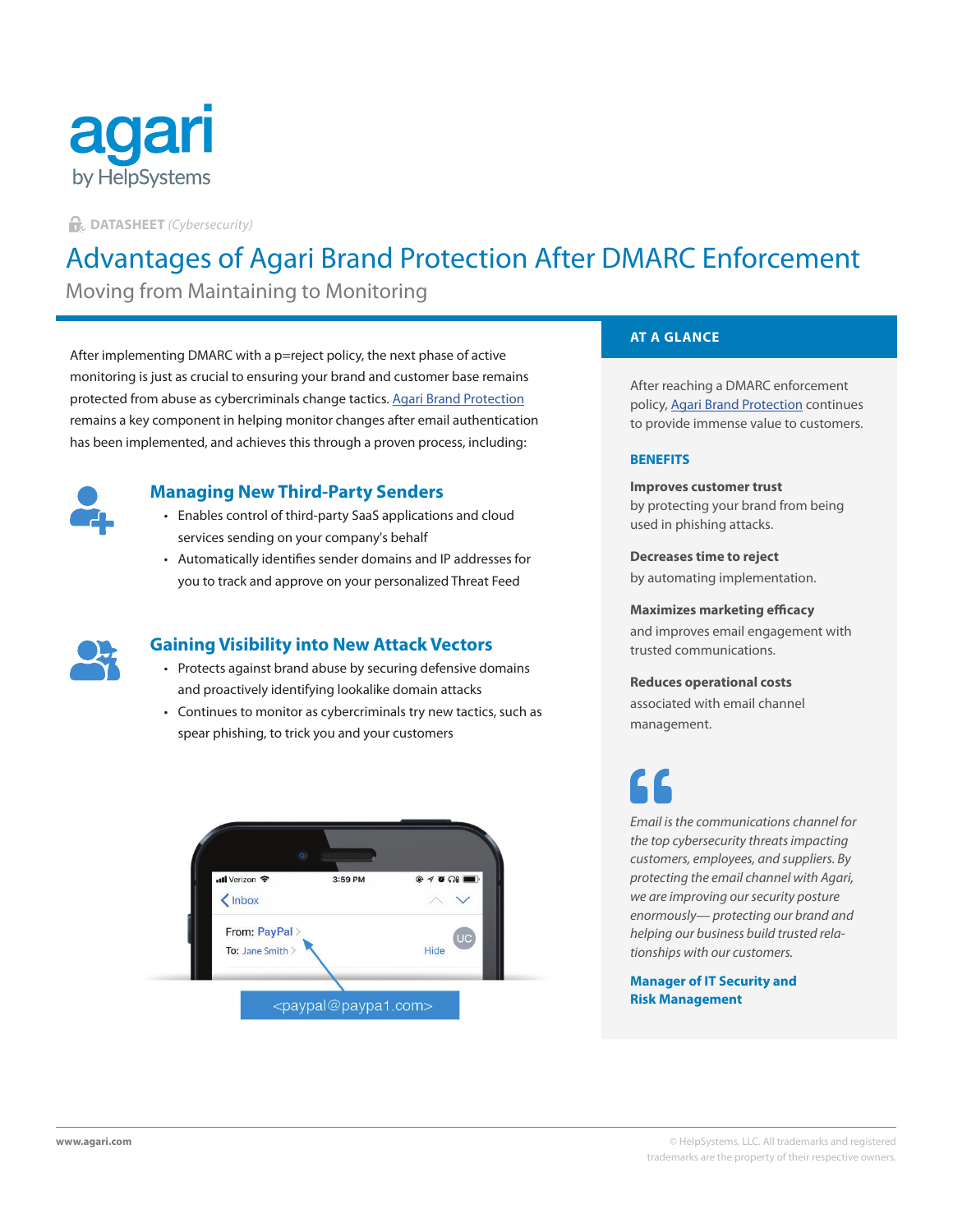

**DATASHEET** *(Cybersecurity)*

# Advantages of Agari Brand Protection After DMARC Enforcement

Moving from Maintaining to Monitoring

After implementing DMARC with a p=reject policy, the next phase of active monitoring is just as crucial to ensuring your brand and customer base remains protected from abuse as cybercriminals change tactics. [Agari Brand Protection](https://www.agari.com/products/brand-protection/) remains a key component in helping monitor changes after email authentication has been implemented, and achieves this through a proven process, including:



# **Managing New Third-Party Senders**

- Enables control of third-party SaaS applications and cloud services sending on your company's behalf
- Automatically identifies sender domains and IP addresses for you to track and approve on your personalized Threat Feed



# **Gaining Visibility into New Attack Vectors**

- Protects against brand abuse by securing defensive domains and proactively identifying lookalike domain attacks
- Continues to monitor as cybercriminals try new tactics, such as spear phishing, to trick you and your customers



### **AT A GLANCE**

After reaching a DMARC enforcement policy, [Agari Brand Protection](https://www.agari.com/products/brand-protection/) continues to provide immense value to customers.

#### **BENEFITS**

**Improves customer trust** by protecting your brand from being used in phishing attacks.

**Decreases time to reject** by automating implementation.

**Maximizes marketing efficacy**

and improves email engagement with trusted communications.

# **Reduces operational costs** associated with email channel

management.

*Email is the communications channel for the top cybersecurity threats impacting customers, employees, and suppliers. By protecting the email channel with Agari, we are improving our security posture enormously— protecting our brand and helping our business build trusted relationships with our customers.*

#### **Manager of IT Security and Risk Management**